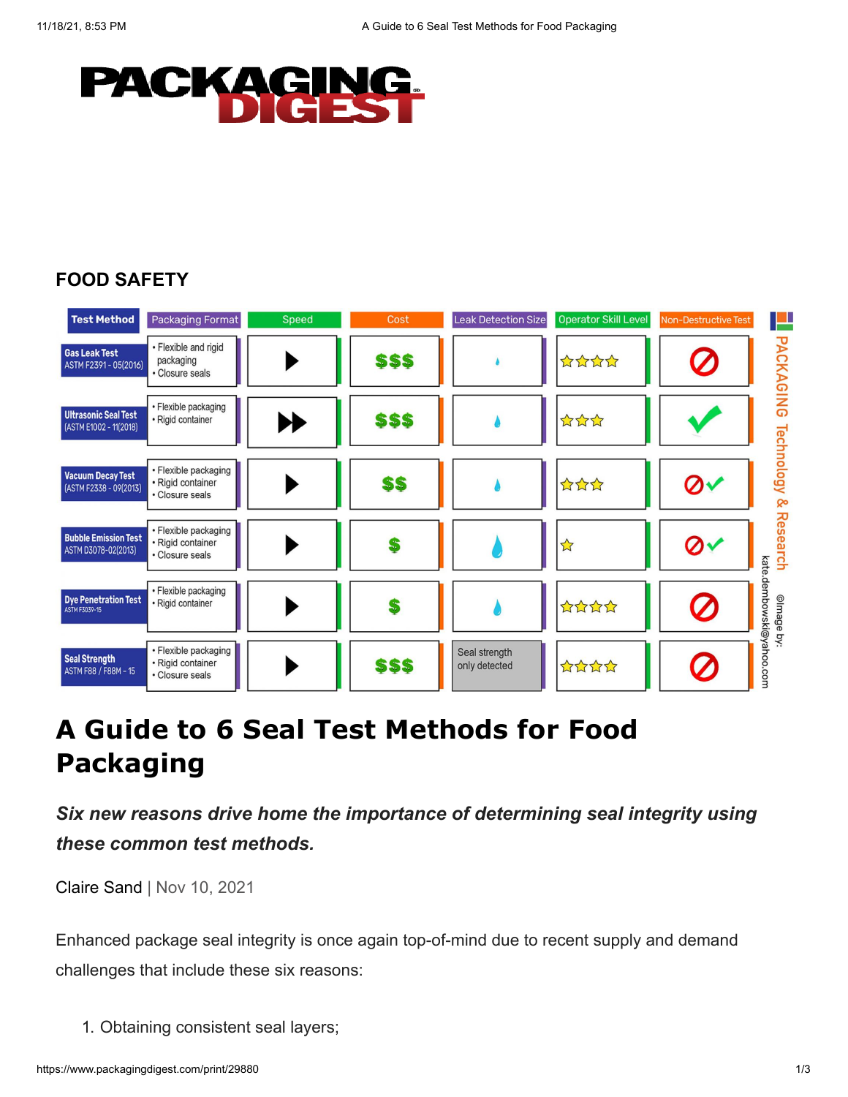

## **[FOOD SAFETY](https://www.packagingdigest.com/food-safety)**



## **A Guide to 6 Seal Test Methods for Food Packaging**

*Six new reasons drive home the importance of determining seal integrity using these common test methods.*

[Claire Sand](https://www.packagingdigest.com/author/Claire-Sand) | Nov 10, 2021

Enhanced package seal integrity is once again top-of-mind due to recent supply and demand challenges that include these six reasons:

1. Obtaining consistent seal layers;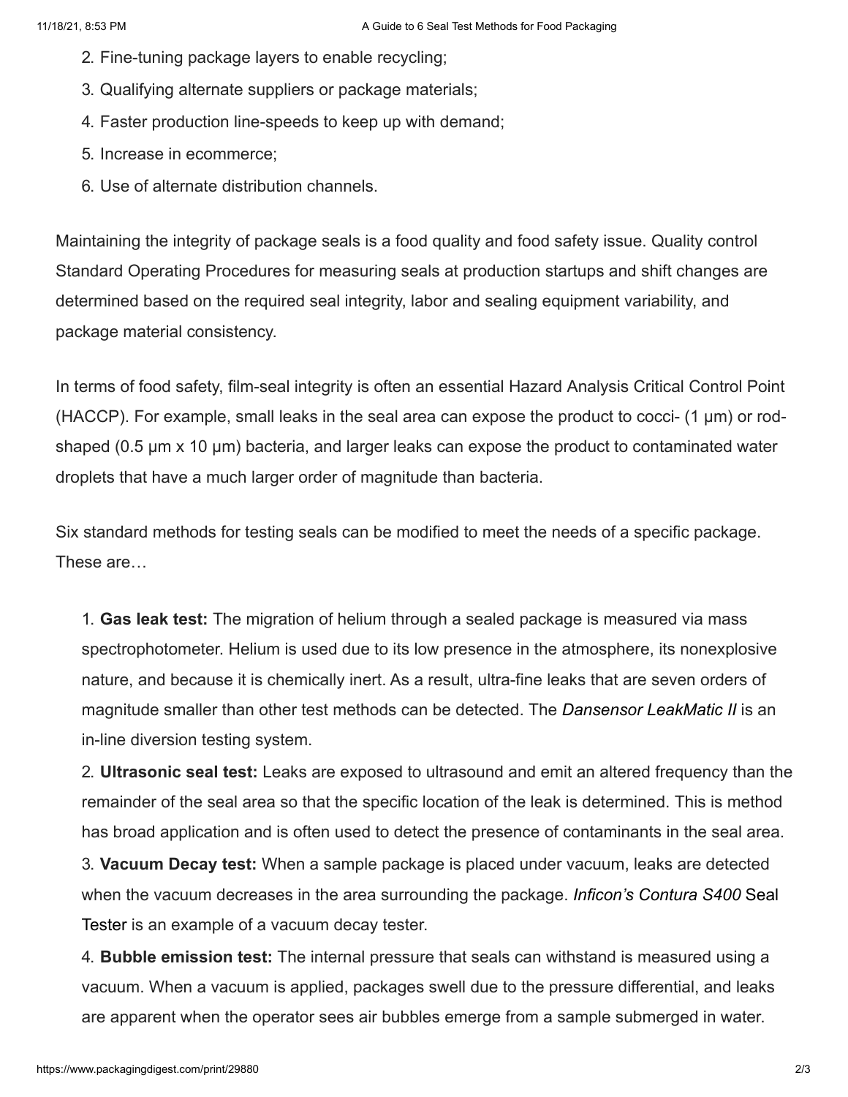- 2. Fine-tuning package layers to enable recycling;
- 3. Qualifying alternate suppliers or package materials;
- 4. Faster production line-speeds to keep up with demand;
- 5. Increase in ecommerce;
- 6. Use of alternate distribution channels.

Maintaining the integrity of package seals is a food quality and food safety issue. Quality control Standard Operating Procedures for measuring seals at production startups and shift changes are determined based on the required seal integrity, labor and sealing equipment variability, and package material consistency.

In terms of food safety, film-seal integrity is often an essential Hazard Analysis Critical Control Point (HACCP). For example, small leaks in the seal area can expose the product to cocci-  $(1 \mu m)$  or rodshaped (0.5 µm x 10 µm) bacteria, and larger leaks can expose the product to contaminated water droplets that have a much larger order of magnitude than bacteria.

Six standard methods for testing seals can be modified to meet the needs of a specific package. These are…

1. **Gas leak test:** The migration of helium through a sealed package is measured via mass spectrophotometer. Helium is used due to its low presence in the atmosphere, its nonexplosive nature, and because it is chemically inert. As a result, ultra-fine leaks that are seven orders of magnitude smaller than other test methods can be detected. The *[Dansensor LeakMatic II](https://www.ametekmocon.com/products/packageleakdetectors/leakmatic-ii)* is an in-line diversion testing system.

2. **Ultrasonic seal test:** Leaks are exposed to ultrasound and emit an altered frequency than the remainder of the seal area so that the specific location of the leak is determined. This is method has broad application and is often used to detect the presence of contaminants in the seal area.

3. **Vacuum Decay test:** When a sample package is placed under vacuum, leaks are detected [when the vacuum decreases in the area surrounding the package.](https://www.inficon.com/en/products/contura-s400-leak-detector-for-packaging) *Inficon's Contura S400* Seal Tester is an example of a vacuum decay tester.

4. **Bubble emission test:** The internal pressure that seals can withstand is measured using a vacuum. When a vacuum is applied, packages swell due to the pressure differential, and leaks are apparent when the operator sees air bubbles emerge from a sample submerged in water.